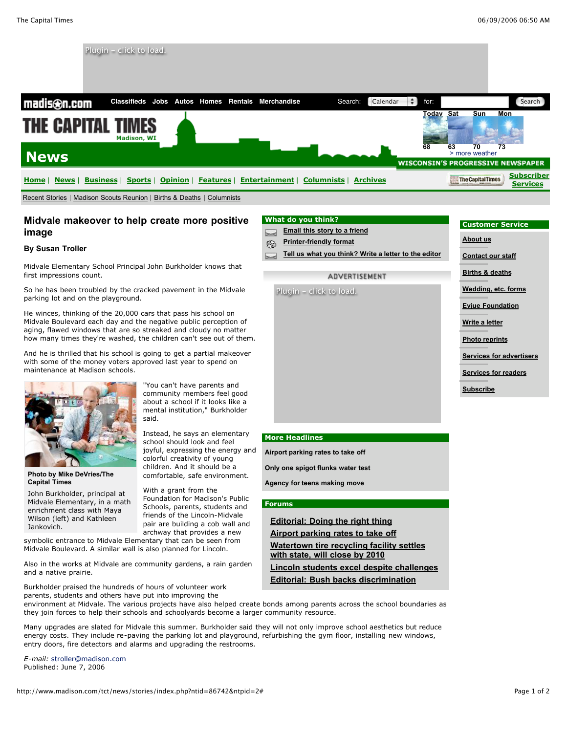

# **Midvale makeover to help create more positive image**

#### **By Susan Troller**

Midvale Elementary School Principal John Burkholder knows that first impressions count.

So he has been troubled by the cracked pavement in the Midvale parking lot and on the playground.

He winces, thinking of the 20,000 cars that pass his school on Midvale Boulevard each day and the negative public perception of aging, flawed windows that are so streaked and cloudy no matter how many times they're washed, the children can't see out of them.

And he is thrilled that his school is going to get a partial makeover with some of the money voters approved last year to spend on maintenance at Madison schools.



**Photo by Mike DeVries/The Capital Times**

John Burkholder, principal at Midvale Elementary, in a math enrichment class with Maya Wilson (left) and Kathleen Jankovich.

"You can't have parents and community members feel good about a school if it looks like a mental institution," Burkholder said.

Instead, he says an elementary school should look and feel joyful, expressing the energy and colorful creativity of young children. And it should be a comfortable, safe environment.

With a grant from the Foundation for Madison's Public Schools, parents, students and friends of the Lincoln-Midvale pair are building a cob wall and archway that provides a new

symbolic entrance to Midvale Elementary that can be seen from Midvale Boulevard. A similar wall is also planned for Lincoln.

Also in the works at Midvale are community gardens, a rain garden and a native prairie.

Burkholder praised the hundreds of hours of volunteer work parents, students and others have put into improving the

### **What do you think?**

- **Email this story to a friend**
- ⊗ **Printer-friendly format**

Plugin - click to load.

**Tell us what you think? Write a letter to the editor**

# ADVERTISEMENT

# **Customer Service**

**About us**

- **Contact our staff**
- **Births & deaths**
- **Wedding, etc. forms**

**Evjue Foundation**

- **Write a letter**
- **Photo reprints**
- **Services for advertisers**
- **Services for readers**
- **Subscribe**

#### **More Headlines**

**Airport parking rates to take off**

**Only one spigot flunks water test**

**Agency for teens making move**

#### **Forums**

**Editorial: Doing the right thing Airport parking rates to take off Watertown tire recycling facility settles with state, will close by 2010**

**Lincoln students excel despite challenges Editorial: Bush backs discrimination**

environment at Midvale. The various projects have also helped create bonds among parents across the school boundaries as they join forces to help their schools and schoolyards become a larger community resource.

Many upgrades are slated for Midvale this summer. Burkholder said they will not only improve school aesthetics but reduce energy costs. They include re-paving the parking lot and playground, refurbishing the gym floor, installing new windows, entry doors, fire detectors and alarms and upgrading the restrooms.

*E-mail:* stroller@madison.com Published: June 7, 2006